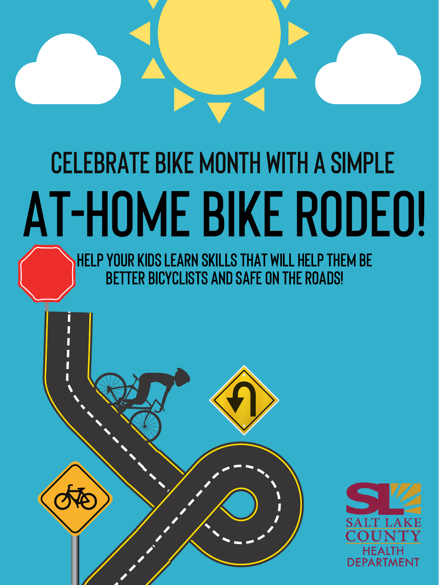

# CELEBRATE BIKE MONTH WITH A SIMPLE AT-HOME BIKE RODEO!

**YOUR KIDS LEARN SKILLS THAT WILL HELP THEM BE** BETTER BICYCLISTS AND SAFE ON THE ROADS!

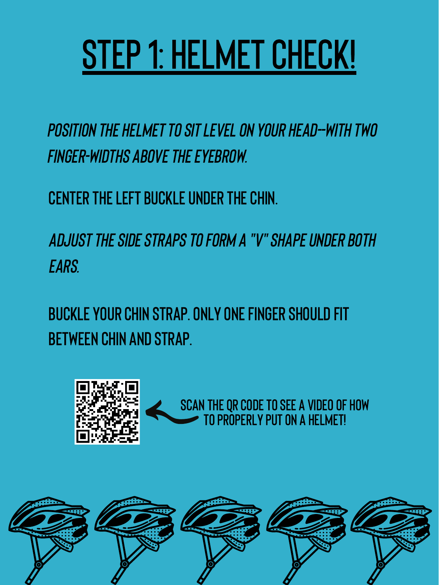## STEP 1: HELMET CHECK!

#### POSITION THE HELMET TO SIT LEVEL ON YOUR HEAD-WITH TWO **FINGER-WIDTHS ABOVE THE EYEBROW.**

#### **CENTER THE LEFT BUCKLE UNDER THE CHIN.**

ADJUST THE SIDE STRAPS TO FORM A "V" SHAPE UNDER BOTH EARS.

#### BUCKLE YOUR CHIN STRAP. ONLY ONE FINGER SHOULD FIT **BETWEEN CHIN AND STRAP.**



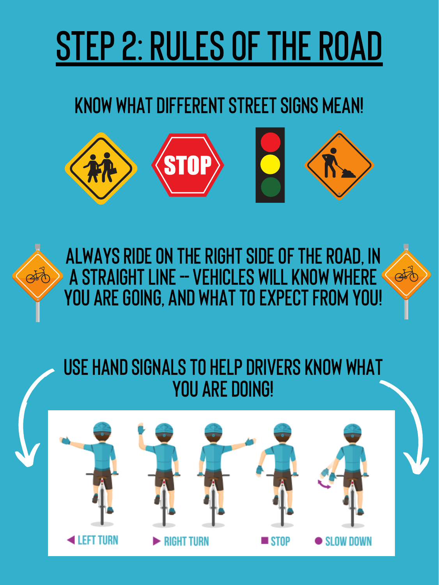## STEP 2: RULES OF THE ROAD

#### KNOW WHAT DIFFERENT STREET SIGNS MEAN!





#### USE HAND SIGNALS TO HELP DRIVERS KNOW WHAT **YOU ARE DOING!**

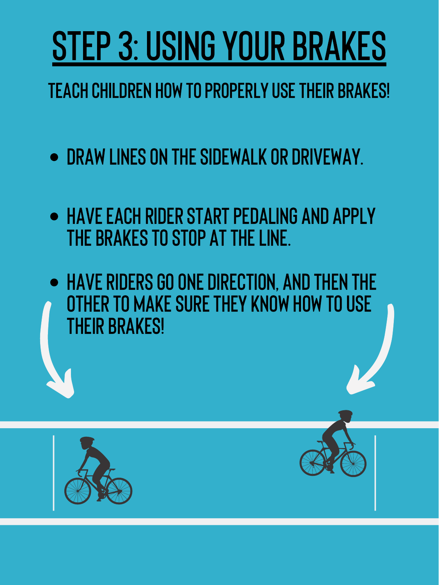## STEP 3: USING YOUR BRAKES

### **TEACH CHILDREN HOW TO PROPERLY USE THEIR BRAKES!**

#### • DRAW LINES ON THE SIDEWALK OR DRIVEWAY.

- HAVE EACH RIDER START PEDALING AND APPLY THE BRAKES TO STOP AT THE LINE.
- HAVE RIDERS GO ONE DIRECTION, AND THEN THE OTHER TO MAKE SURE THEY KNOW HOW TO USE

## **THEIR BRAKES!**



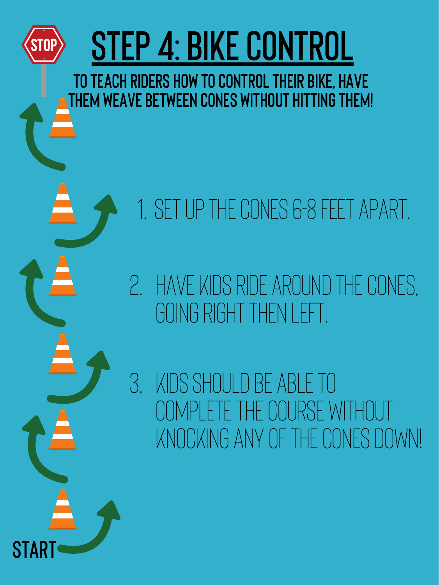START



GOING RIGHT THEN LEFT.

3. kidsshouldbeable to complete thecourse without KNOCKING ANY OF THE CONES DOWN!